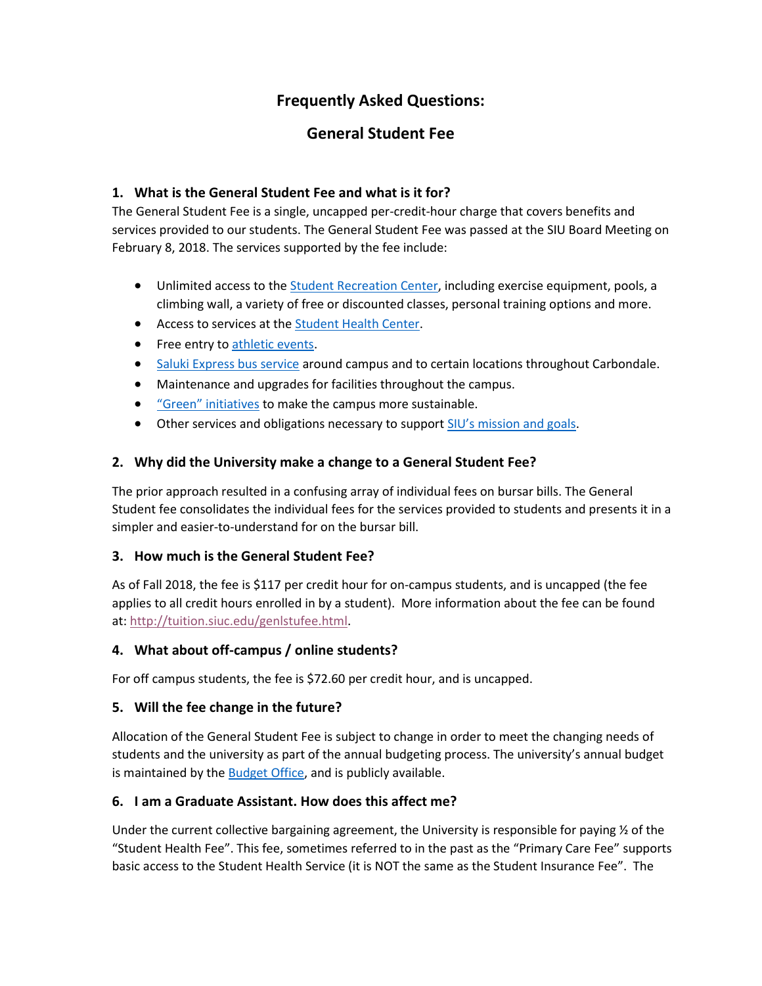# **Frequently Asked Questions:**

## **General Student Fee**

## **1. What is the General Student Fee and what is it for?**

The General Student Fee is a single, uncapped per-credit-hour charge that covers benefits and services provided to our students. The General Student Fee was passed at the SIU Board Meeting on February 8, 2018. The services supported by the fee include:

- Unlimited access to the [Student Recreation Center,](http://rec.siu.edu/) including exercise equipment, pools, a climbing wall, a variety of free or discounted classes, personal training options and more.
- Access to services at the [Student Health Center.](http://shc.siu.edu/)
- Free entry t[o athletic events.](http://siusalukis.com/)
- [Saluki Express bus service](http://studentcenter.siu.edu/services/saluki-express/) around campus and to certain locations throughout Carbondale.
- Maintenance and upgrades for facilities throughout the campus.
- **•** ["Green" initiatives](http://sustainability.siu.edu/green-fee/index.php) to make the campus more sustainable.
- Other services and obligations necessary to support [SIU's mission and goals](https://siu.edu/about-siu/mission.php).

#### **2. Why did the University make a change to a General Student Fee?**

The prior approach resulted in a confusing array of individual fees on bursar bills. The General Student fee consolidates the individual fees for the services provided to students and presents it in a simpler and easier-to-understand for on the bursar bill.

#### **3. How much is the General Student Fee?**

As of Fall 2018, the fee is \$117 per credit hour for on-campus students, and is uncapped (the fee applies to all credit hours enrolled in by a student). More information about the fee can be found at: [http://tuition.siuc.edu/genlstufee.html.](http://tuition.siuc.edu/genlstufee.html)

## **4. What about off-campus / online students?**

For off campus students, the fee is \$72.60 per credit hour, and is uncapped.

#### **5. Will the fee change in the future?**

Allocation of the General Student Fee is subject to change in order to meet the changing needs of students and the university as part of the annual budgeting process. The university's annual budget is maintained by the **Budget Office**, and is publicly available.

## **6. I am a Graduate Assistant. How does this affect me?**

Under the current collective bargaining agreement, the University is responsible for paying  $\frac{1}{2}$  of the "Student Health Fee". This fee, sometimes referred to in the past as the "Primary Care Fee" supports basic access to the Student Health Service (it is NOT the same as the Student Insurance Fee". The